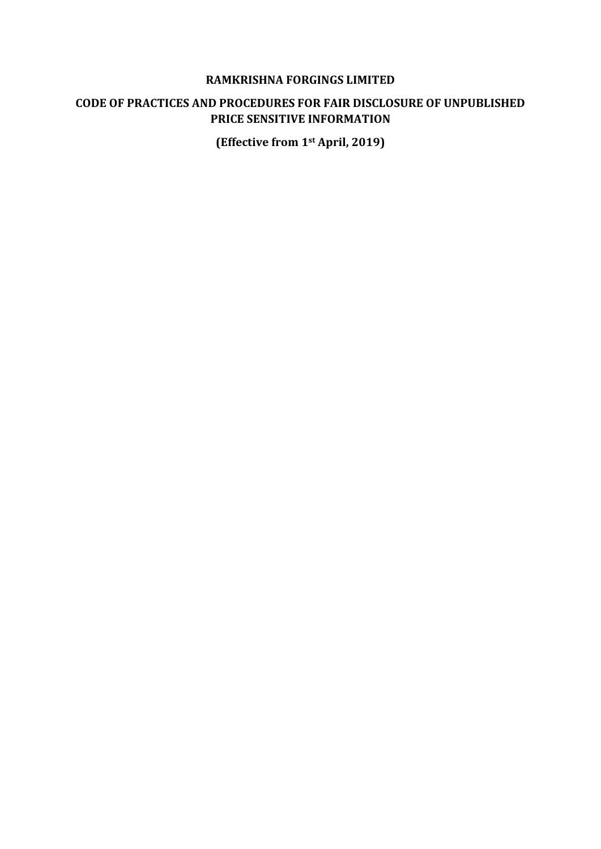#### **RAMKRISHNA FORGINGS LIMITED**

## **CODE OF PRACTICES AND PROCEDURES FOR FAIR DISCLOSURE OF UNPUBLISHED PRICE SENSITIVE INFORMATION**

**(Effective from 1st April, 2019)**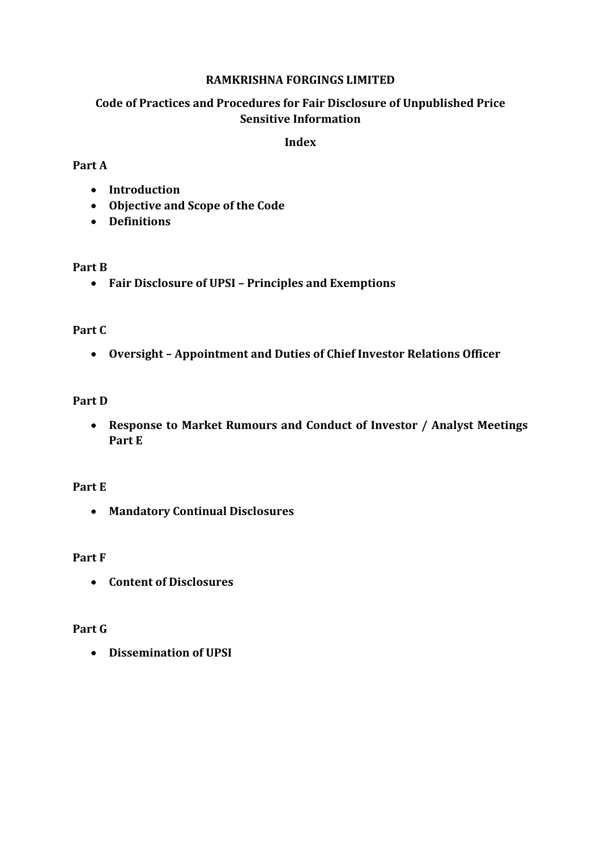## **RAMKRISHNA FORGINGS LIMITED**

# **Code of Practices and Procedures for Fair Disclosure of Unpublished Price Sensitive Information**

#### **Index**

### **Part A**

- **Introduction**
- **Objective and Scope of the Code**
- **Definitions**

### **Part B**

**Fair Disclosure of UPSI – Principles and Exemptions** 

## **Part C**

**Oversight – Appointment and Duties of Chief Investor Relations Officer** 

# **Part D**

 **Response to Market Rumours and Conduct of Investor / Analyst Meetings Part E** 

### **Part E**

**Mandatory Continual Disclosures** 

### **Part F**

**Content of Disclosures**

# **Part G**

**Dissemination of UPSI**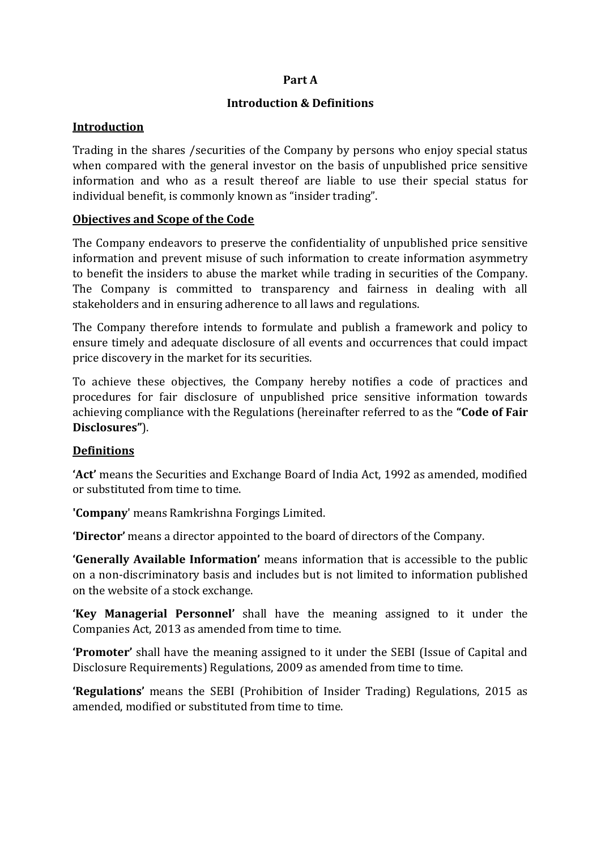## **Part A**

## **Introduction & Definitions**

### **Introduction**

Trading in the shares /securities of the Company by persons who enjoy special status when compared with the general investor on the basis of unpublished price sensitive information and who as a result thereof are liable to use their special status for individual benefit, is commonly known as "insider trading".

## **Objectives and Scope of the Code**

The Company endeavors to preserve the confidentiality of unpublished price sensitive information and prevent misuse of such information to create information asymmetry to benefit the insiders to abuse the market while trading in securities of the Company. The Company is committed to transparency and fairness in dealing with all stakeholders and in ensuring adherence to all laws and regulations.

The Company therefore intends to formulate and publish a framework and policy to ensure timely and adequate disclosure of all events and occurrences that could impact price discovery in the market for its securities.

To achieve these objectives, the Company hereby notifies a code of practices and procedures for fair disclosure of unpublished price sensitive information towards achieving compliance with the Regulations (hereinafter referred to as the **"Code of Fair Disclosures"**).

# **Definitions**

**'Act'** means the Securities and Exchange Board of India Act, 1992 as amended, modified or substituted from time to time.

**'Company**' means Ramkrishna Forgings Limited.

**'Director'** means a director appointed to the board of directors of the Company.

**'Generally Available Information'** means information that is accessible to the public on a non-discriminatory basis and includes but is not limited to information published on the website of a stock exchange.

**'Key Managerial Personnel'** shall have the meaning assigned to it under the Companies Act, 2013 as amended from time to time.

**'Promoter'** shall have the meaning assigned to it under the SEBI (Issue of Capital and Disclosure Requirements) Regulations, 2009 as amended from time to time.

**'Regulations'** means the SEBI (Prohibition of Insider Trading) Regulations, 2015 as amended, modified or substituted from time to time.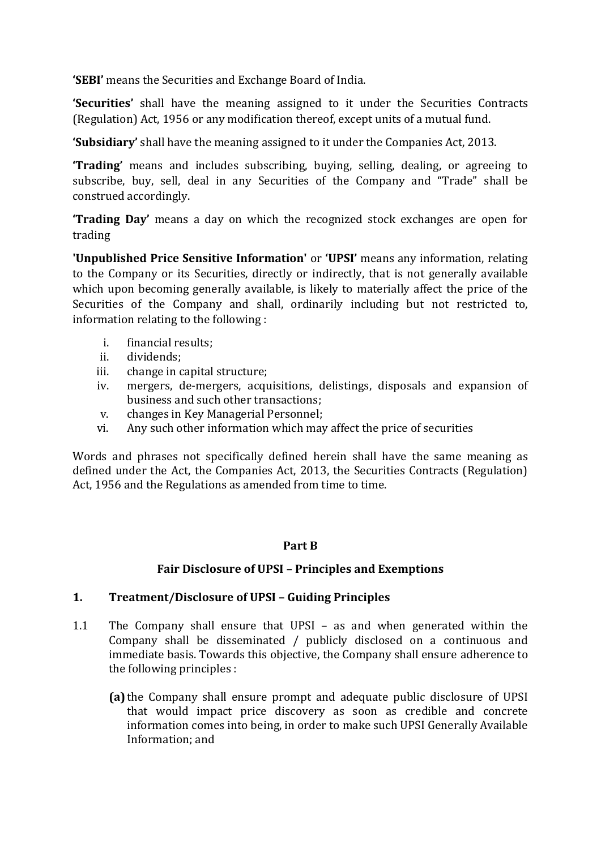**'SEBI'** means the Securities and Exchange Board of India.

**'Securities'** shall have the meaning assigned to it under the Securities Contracts (Regulation) Act, 1956 or any modification thereof, except units of a mutual fund.

**'Subsidiary'** shall have the meaning assigned to it under the Companies Act, 2013.

**'Trading'** means and includes subscribing, buying, selling, dealing, or agreeing to subscribe, buy, sell, deal in any Securities of the Company and "Trade" shall be construed accordingly.

**'Trading Day'** means a day on which the recognized stock exchanges are open for trading

**'Unpublished Price Sensitive Information'** or **'UPSI'** means any information, relating to the Company or its Securities, directly or indirectly, that is not generally available which upon becoming generally available, is likely to materially affect the price of the Securities of the Company and shall, ordinarily including but not restricted to, information relating to the following :

- i. financial results;
- ii. dividends;
- iii. change in capital structure;
- iv. mergers, de-mergers, acquisitions, delistings, disposals and expansion of business and such other transactions;
- v. changes in Key Managerial Personnel;
- vi. Any such other information which may affect the price of securities

Words and phrases not specifically defined herein shall have the same meaning as defined under the Act, the Companies Act, 2013, the Securities Contracts (Regulation) Act, 1956 and the Regulations as amended from time to time.

### **Part B**

### **Fair Disclosure of UPSI – Principles and Exemptions**

### **1. Treatment/Disclosure of UPSI – Guiding Principles**

- 1.1 The Company shall ensure that UPSI as and when generated within the Company shall be disseminated / publicly disclosed on a continuous and immediate basis. Towards this objective, the Company shall ensure adherence to the following principles :
	- **(a)** the Company shall ensure prompt and adequate public disclosure of UPSI that would impact price discovery as soon as credible and concrete information comes into being, in order to make such UPSI Generally Available Information; and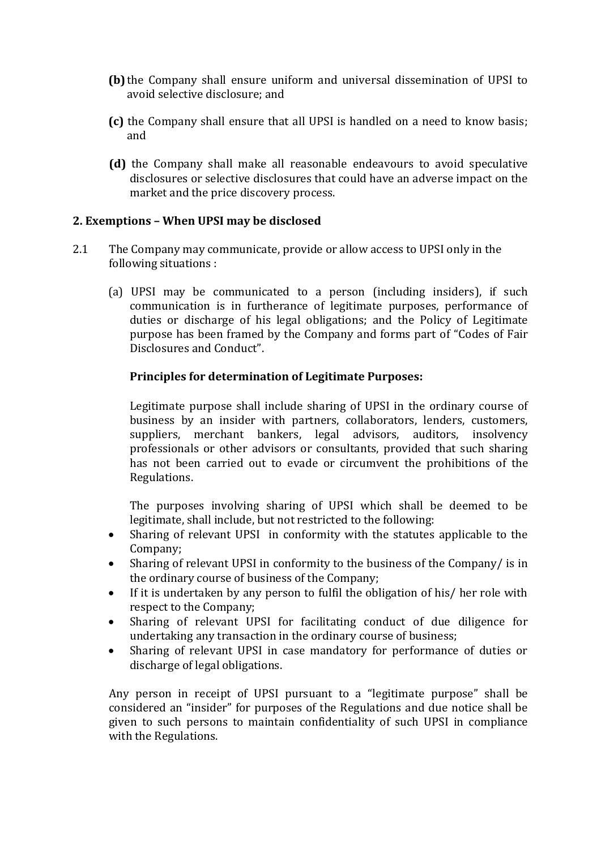- **(b)** the Company shall ensure uniform and universal dissemination of UPSI to avoid selective disclosure; and
- **(c)** the Company shall ensure that all UPSI is handled on a need to know basis; and
- **(d)** the Company shall make all reasonable endeavours to avoid speculative disclosures or selective disclosures that could have an adverse impact on the market and the price discovery process.

### **2. Exemptions – When UPSI may be disclosed**

- 2.1 The Company may communicate, provide or allow access to UPSI only in the following situations :
	- (a) UPSI may be communicated to a person (including insiders), if such communication is in furtherance of legitimate purposes, performance of duties or discharge of his legal obligations; and the Policy of Legitimate purpose has been framed by the Company and forms part of "Codes of Fair Disclosures and Conduct".

#### **Principles for determination of Legitimate Purposes:**

Legitimate purpose shall include sharing of UPSI in the ordinary course of business by an insider with partners, collaborators, lenders, customers, suppliers, merchant bankers, legal advisors, auditors, insolvency professionals or other advisors or consultants, provided that such sharing has not been carried out to evade or circumvent the prohibitions of the Regulations.

The purposes involving sharing of UPSI which shall be deemed to be legitimate, shall include, but not restricted to the following:

- Sharing of relevant UPSI in conformity with the statutes applicable to the Company;
- Sharing of relevant UPSI in conformity to the business of the Company/ is in the ordinary course of business of the Company;
- If it is undertaken by any person to fulfil the obligation of his/ her role with respect to the Company;
- Sharing of relevant UPSI for facilitating conduct of due diligence for undertaking any transaction in the ordinary course of business;
- Sharing of relevant UPSI in case mandatory for performance of duties or discharge of legal obligations.

Any person in receipt of UPSI pursuant to a "legitimate purpose" shall be considered an "insider" for purposes of the Regulations and due notice shall be given to such persons to maintain confidentiality of such UPSI in compliance with the Regulations.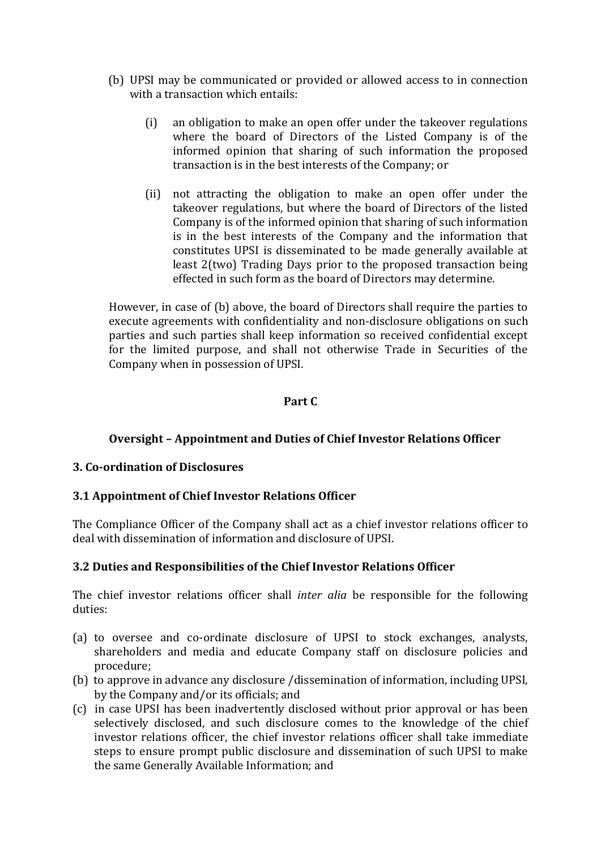- (b) UPSI may be communicated or provided or allowed access to in connection with a transaction which entails:
	- (i) an obligation to make an open offer under the takeover regulations where the board of Directors of the Listed Company is of the informed opinion that sharing of such information the proposed transaction is in the best interests of the Company; or
	- (ii) not attracting the obligation to make an open offer under the takeover regulations, but where the board of Directors of the listed Company is of the informed opinion that sharing of such information is in the best interests of the Company and the information that constitutes UPSI is disseminated to be made generally available at least 2(two) Trading Days prior to the proposed transaction being effected in such form as the board of Directors may determine.

However, in case of (b) above, the board of Directors shall require the parties to execute agreements with confidentiality and non-disclosure obligations on such parties and such parties shall keep information so received confidential except for the limited purpose, and shall not otherwise Trade in Securities of the Company when in possession of UPSI.

### **Part C**

# **Oversight – Appointment and Duties of Chief Investor Relations Officer**

### **3. Co-ordination of Disclosures**

### **3.1 Appointment of Chief Investor Relations Officer**

The Compliance Officer of the Company shall act as a chief investor relations officer to deal with dissemination of information and disclosure of UPSI.

### **3.2 Duties and Responsibilities of the Chief Investor Relations Officer**

The chief investor relations officer shall *inter alia* be responsible for the following duties:

- (a) to oversee and co-ordinate disclosure of UPSI to stock exchanges, analysts, shareholders and media and educate Company staff on disclosure policies and procedure;
- (b) to approve in advance any disclosure /dissemination of information, including UPSI, by the Company and/or its officials; and
- (c) in case UPSI has been inadvertently disclosed without prior approval or has been selectively disclosed, and such disclosure comes to the knowledge of the chief investor relations officer, the chief investor relations officer shall take immediate steps to ensure prompt public disclosure and dissemination of such UPSI to make the same Generally Available Information; and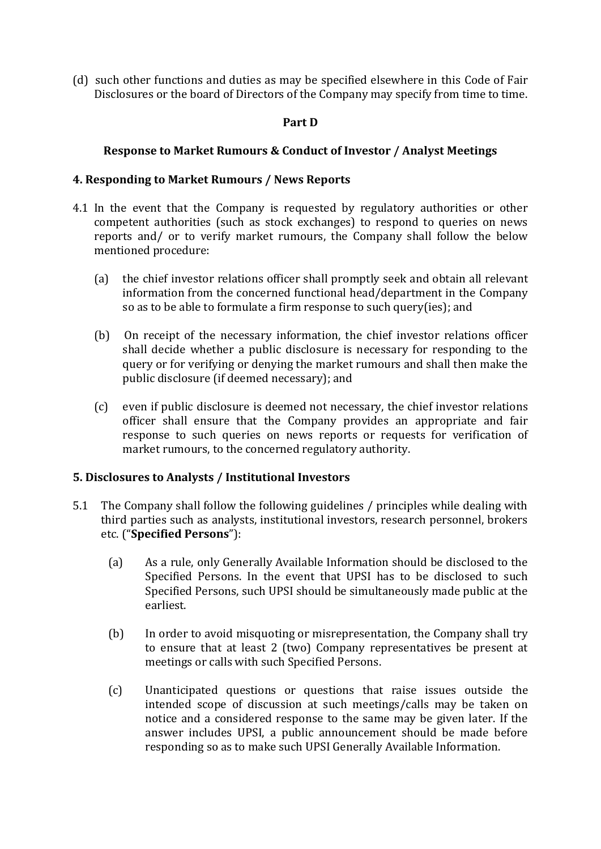(d) such other functions and duties as may be specified elsewhere in this Code of Fair Disclosures or the board of Directors of the Company may specify from time to time.

### **Part D**

### **Response to Market Rumours & Conduct of Investor / Analyst Meetings**

### **4. Responding to Market Rumours / News Reports**

- 4.1 In the event that the Company is requested by regulatory authorities or other competent authorities (such as stock exchanges) to respond to queries on news reports and/ or to verify market rumours, the Company shall follow the below mentioned procedure:
	- (a) the chief investor relations officer shall promptly seek and obtain all relevant information from the concerned functional head/department in the Company so as to be able to formulate a firm response to such query(ies); and
	- (b) On receipt of the necessary information, the chief investor relations officer shall decide whether a public disclosure is necessary for responding to the query or for verifying or denying the market rumours and shall then make the public disclosure (if deemed necessary); and
	- (c) even if public disclosure is deemed not necessary, the chief investor relations officer shall ensure that the Company provides an appropriate and fair response to such queries on news reports or requests for verification of market rumours, to the concerned regulatory authority.

### **5. Disclosures to Analysts / Institutional Investors**

- 5.1 The Company shall follow the following guidelines / principles while dealing with third parties such as analysts, institutional investors, research personnel, brokers etc. ("**Specified Persons**"):
	- (a) As a rule, only Generally Available Information should be disclosed to the Specified Persons. In the event that UPSI has to be disclosed to such Specified Persons, such UPSI should be simultaneously made public at the earliest.
	- (b) In order to avoid misquoting or misrepresentation, the Company shall try to ensure that at least 2 (two) Company representatives be present at meetings or calls with such Specified Persons.
	- (c) Unanticipated questions or questions that raise issues outside the intended scope of discussion at such meetings/calls may be taken on notice and a considered response to the same may be given later. If the answer includes UPSI, a public announcement should be made before responding so as to make such UPSI Generally Available Information.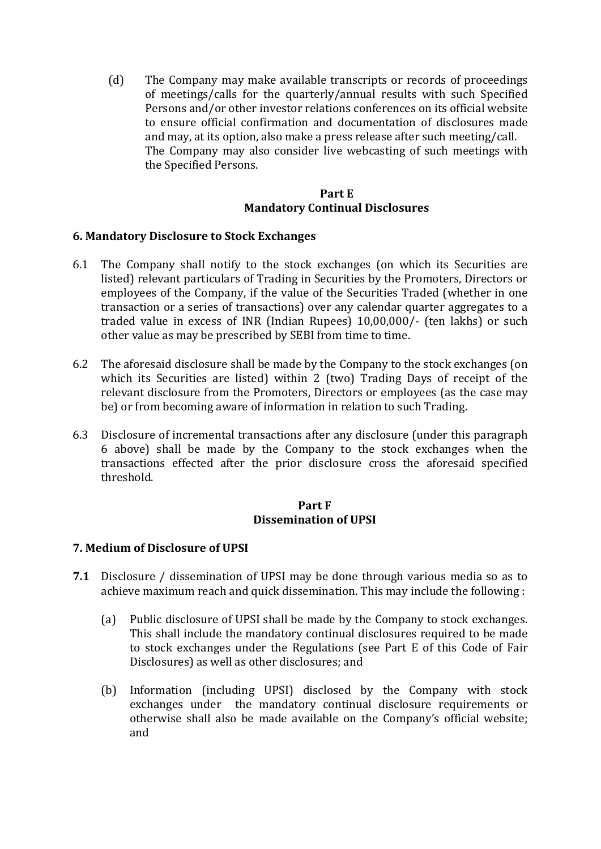(d) The Company may make available transcripts or records of proceedings of meetings/calls for the quarterly/annual results with such Specified Persons and/or other investor relations conferences on its official website to ensure official confirmation and documentation of disclosures made and may, at its option, also make a press release after such meeting/call. The Company may also consider live webcasting of such meetings with the Specified Persons.

### **Part E Mandatory Continual Disclosures**

### **6. Mandatory Disclosure to Stock Exchanges**

- 6.1 The Company shall notify to the stock exchanges (on which its Securities are listed) relevant particulars of Trading in Securities by the Promoters, Directors or employees of the Company, if the value of the Securities Traded (whether in one transaction or a series of transactions) over any calendar quarter aggregates to a traded value in excess of INR (Indian Rupees) 10,00,000/- (ten lakhs) or such other value as may be prescribed by SEBI from time to time.
- 6.2 The aforesaid disclosure shall be made by the Company to the stock exchanges (on which its Securities are listed) within 2 (two) Trading Days of receipt of the relevant disclosure from the Promoters, Directors or employees (as the case may be) or from becoming aware of information in relation to such Trading.
- 6.3 Disclosure of incremental transactions after any disclosure (under this paragraph 6 above) shall be made by the Company to the stock exchanges when the transactions effected after the prior disclosure cross the aforesaid specified threshold.

#### **Part F Dissemination of UPSI**

### **7. Medium of Disclosure of UPSI**

- **7.1** Disclosure / dissemination of UPSI may be done through various media so as to achieve maximum reach and quick dissemination. This may include the following :
	- (a) Public disclosure of UPSI shall be made by the Company to stock exchanges. This shall include the mandatory continual disclosures required to be made to stock exchanges under the Regulations (see Part E of this Code of Fair Disclosures) as well as other disclosures; and
	- (b) Information (including UPSI) disclosed by the Company with stock exchanges under the mandatory continual disclosure requirements or otherwise shall also be made available on the Company's official website; and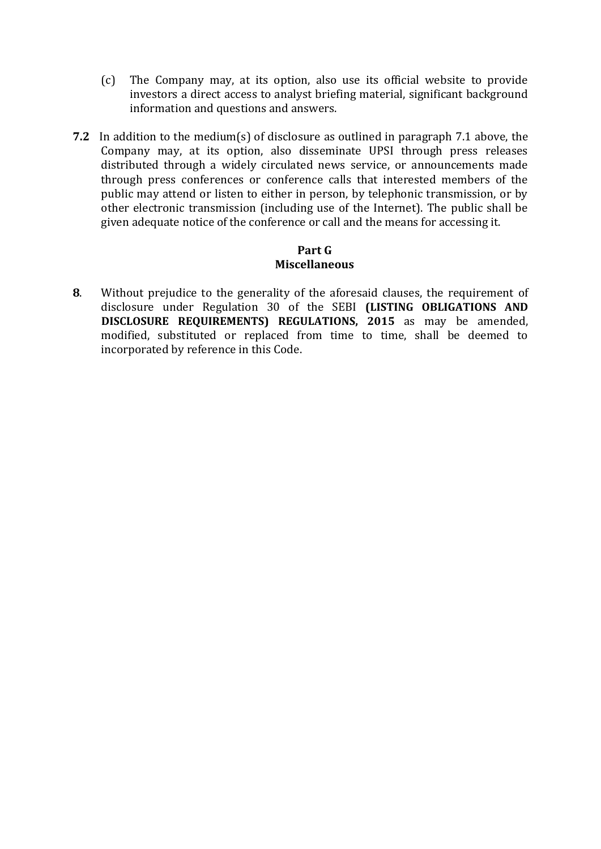- (c) The Company may, at its option, also use its official website to provide investors a direct access to analyst briefing material, significant background information and questions and answers.
- **7.2** In addition to the medium(s) of disclosure as outlined in paragraph 7.1 above, the Company may, at its option, also disseminate UPSI through press releases distributed through a widely circulated news service, or announcements made through press conferences or conference calls that interested members of the public may attend or listen to either in person, by telephonic transmission, or by other electronic transmission (including use of the Internet). The public shall be given adequate notice of the conference or call and the means for accessing it.

#### **Part G Miscellaneous**

**8**. Without prejudice to the generality of the aforesaid clauses, the requirement of disclosure under Regulation 30 of the SEBI **(LISTING OBLIGATIONS AND DISCLOSURE REQUIREMENTS) REGULATIONS, 2015** as may be amended, modified, substituted or replaced from time to time, shall be deemed to incorporated by reference in this Code.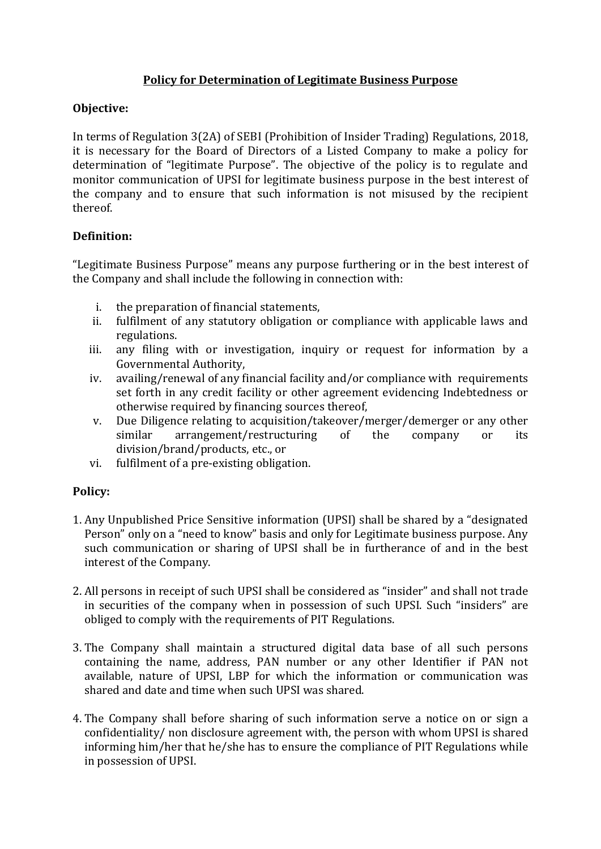# **Policy for Determination of Legitimate Business Purpose**

# **Objective:**

In terms of Regulation 3(2A) of SEBI (Prohibition of Insider Trading) Regulations, 2018, it is necessary for the Board of Directors of a Listed Company to make a policy for determination of "legitimate Purpose". The objective of the policy is to regulate and monitor communication of UPSI for legitimate business purpose in the best interest of the company and to ensure that such information is not misused by the recipient thereof.

# **Definition:**

"Legitimate Business Purpose" means any purpose furthering or in the best interest of the Company and shall include the following in connection with:

- i. the preparation of financial statements,
- ii. fulfilment of any statutory obligation or compliance with applicable laws and regulations.
- iii. any filing with or investigation, inquiry or request for information by a Governmental Authority,
- iv. availing/renewal of any financial facility and/or compliance with requirements set forth in any credit facility or other agreement evidencing Indebtedness or otherwise required by financing sources thereof,
- v. Due Diligence relating to acquisition/takeover/merger/demerger or any other similar arrangement/restructuring of the company or its division/brand/products, etc., or
- vi. fulfilment of a pre-existing obligation.

# **Policy:**

- 1. Any Unpublished Price Sensitive information (UPSI) shall be shared by a "designated Person" only on a "need to know" basis and only for Legitimate business purpose. Any such communication or sharing of UPSI shall be in furtherance of and in the best interest of the Company.
- 2. All persons in receipt of such UPSI shall be considered as "insider" and shall not trade in securities of the company when in possession of such UPSI. Such "insiders" are obliged to comply with the requirements of PIT Regulations.
- 3. The Company shall maintain a structured digital data base of all such persons containing the name, address, PAN number or any other Identifier if PAN not available, nature of UPSI, LBP for which the information or communication was shared and date and time when such UPSI was shared.
- 4. The Company shall before sharing of such information serve a notice on or sign a confidentiality/ non disclosure agreement with, the person with whom UPSI is shared informing him/her that he/she has to ensure the compliance of PIT Regulations while in possession of UPSI.